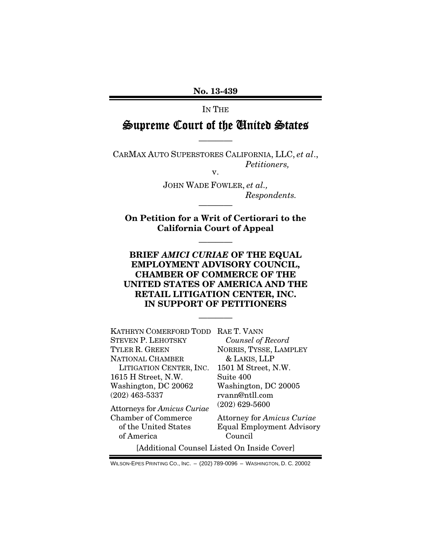No. 13-439

### IN THE

# Supreme Court of the United States

————

CARMAX AUTO SUPERSTORES CALIFORNIA, LLC, *et al*., *Petitioners,*  v.

> JOHN WADE FOWLER, *et al., Respondents.*

On Petition for a Writ of Certiorari to the California Court of Appeal

————

————

## BRIEF *AMICI CURIAE* OF THE EQUAL EMPLOYMENT ADVISORY COUNCIL, CHAMBER OF COMMERCE OF THE UNITED STATES OF AMERICA AND THE RETAIL LITIGATION CENTER, INC. IN SUPPORT OF PETITIONERS

————

| KATHRYN COMERFORD TODD RAE T. VANN |                                   |
|------------------------------------|-----------------------------------|
| STEVEN P. LEHOTSKY                 | Counsel of Record                 |
| TYLER R. GREEN                     | NORRIS, TYSSE, LAMPLEY            |
| NATIONAL CHAMBER                   | & LAKIS, LLP                      |
| LITIGATION CENTER, INC.            | 1501 M Street, N.W.               |
| 1615 H Street, N.W.                | Suite 400                         |
| Washington, DC 20062               | Washington, DC 20005              |
| $(202)$ 463-5337                   | rvann@ntll.com                    |
| Attorneys for Amicus Curiae        | $(202)$ 629-5600                  |
| <b>Chamber of Commerce</b>         | <b>Attorney for Amicus Curiae</b> |
| of the United States               | <b>Equal Employment Advisory</b>  |
| of America                         | Council                           |
|                                    |                                   |

[Additional Counsel Listed On Inside Cover]

WILSON-EPES PRINTING CO., INC. – (202) 789-0096 – WASHINGTON, D. C. 20002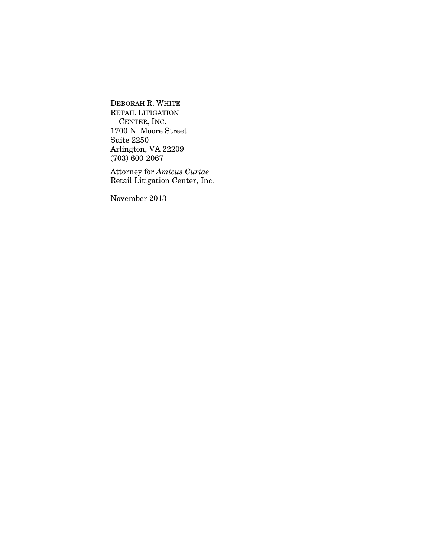DEBORAH R. WHITE RETAIL LITIGATION CENTER, INC. 1700 N. Moore Street Suite 2250 Arlington, VA 22209 (703) 600-2067

Attorney for *Amicus Curiae* Retail Litigation Center, Inc.

November 2013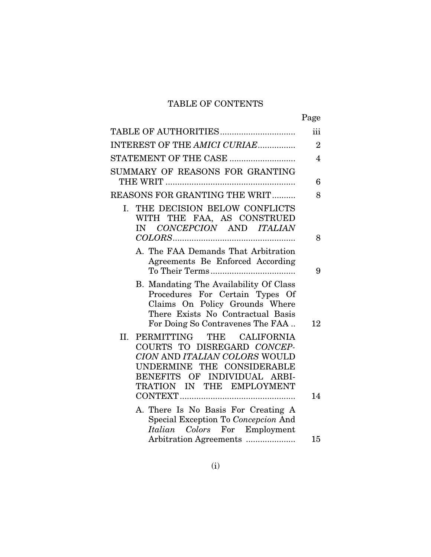# TABLE OF CONTENTS

|                                                                                                                                                                                                | Page           |
|------------------------------------------------------------------------------------------------------------------------------------------------------------------------------------------------|----------------|
| TABLE OF AUTHORITIES                                                                                                                                                                           | iii            |
| INTEREST OF THE AMICI CURIAE                                                                                                                                                                   | $\overline{2}$ |
| STATEMENT OF THE CASE                                                                                                                                                                          | $\overline{4}$ |
| SUMMARY OF REASONS FOR GRANTING                                                                                                                                                                | 6              |
| <b>REASONS FOR GRANTING THE WRIT</b>                                                                                                                                                           | 8              |
| THE DECISION BELOW CONFLICTS<br>I.<br>WITH THE FAA, AS CONSTRUED<br>IN CONCEPCION AND ITALIAN                                                                                                  | 8              |
| A. The FAA Demands That Arbitration<br>Agreements Be Enforced According                                                                                                                        | 9              |
| B. Mandating The Availability Of Class<br>Procedures For Certain Types Of<br>Claims On Policy Grounds Where<br>There Exists No Contractual Basis<br>For Doing So Contravenes The FAA           | 12             |
| PERMITTING<br>II.<br>THE CALIFORNIA<br>COURTS TO DISREGARD CONCEP-<br>CION AND ITALIAN COLORS WOULD<br>UNDERMINE THE CONSIDERABLE<br>BENEFITS OF INDIVIDUAL ARBI-<br>TRATION IN THE EMPLOYMENT | 14             |
| A. There Is No Basis For Creating A<br>Special Exception To Concepcion And<br>Italian Colors For Employment                                                                                    |                |
| Arbitration Agreements                                                                                                                                                                         | 15             |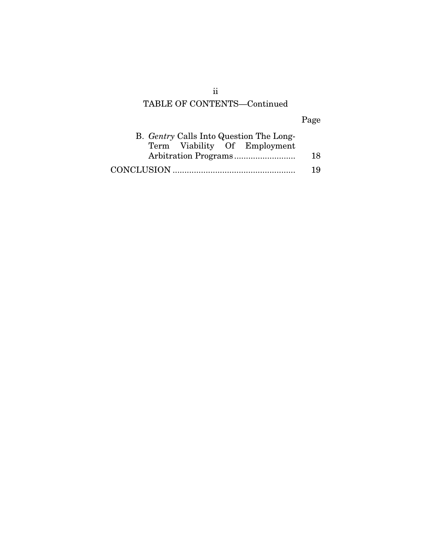# TABLE OF CONTENTS—Continued

# Page

| B. <i>Gentry</i> Calls Into Question The Long- |    |
|------------------------------------------------|----|
| Term Viability Of Employment                   |    |
|                                                | 18 |
|                                                | 19 |

ii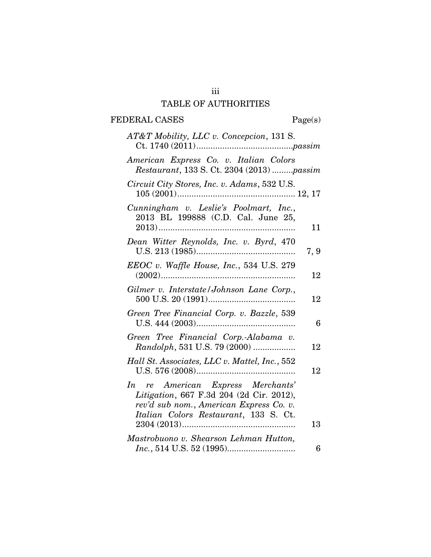# iii TABLE OF AUTHORITIES

# FEDERAL CASES Page(s)

| AT&T Mobility, LLC v. Concepcion, 131 S.                                                                                                                          |      |
|-------------------------------------------------------------------------------------------------------------------------------------------------------------------|------|
| American Express Co. v. Italian Colors<br>Restaurant, 133 S. Ct. 2304 (2013) passim                                                                               |      |
| Circuit City Stores, Inc. v. Adams, 532 U.S.                                                                                                                      |      |
| Cunningham v. Leslie's Poolmart, Inc.,<br>2013 BL 199888 (C.D. Cal. June 25,                                                                                      | 11   |
| Dean Witter Reynolds, Inc. v. Byrd, 470                                                                                                                           | 7, 9 |
| $EEOC$ v. Waffle House, Inc., 534 U.S. 279                                                                                                                        | 12   |
| Gilmer v. Interstate/Johnson Lane Corp.,                                                                                                                          | 12   |
| Green Tree Financial Corp. v. Bazzle, 539                                                                                                                         | 6    |
| Green Tree Financial Corp.-Alabama v.<br>Randolph, 531 U.S. 79 (2000)                                                                                             | 12   |
| Hall St. Associates, LLC v. Mattel, Inc., 552                                                                                                                     | 12   |
| In re American Express Merchants'<br>Litigation, 667 F.3d 204 (2d Cir. 2012),<br>rev'd sub nom., American Express Co. v.<br>Italian Colors Restaurant, 133 S. Ct. |      |
|                                                                                                                                                                   | 13   |
| Mastrobuono v. Shearson Lehman Hutton,                                                                                                                            | 6    |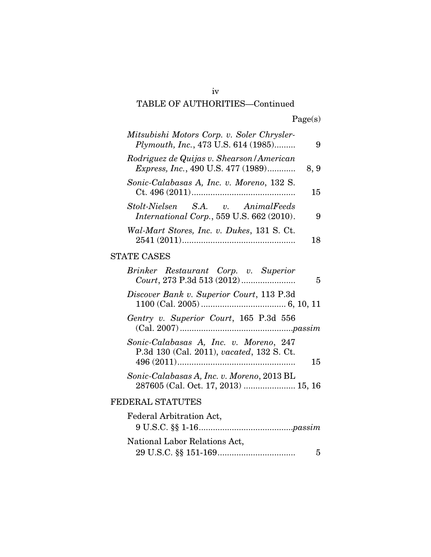# iv TABLE OF AUTHORITIES—Continued

| 9    | Mitsubishi Motors Corp. v. Soler Chrysler-<br>Plymouth, Inc., 473 U.S. 614 (1985)       |
|------|-----------------------------------------------------------------------------------------|
| 8, 9 | Rodriguez de Quijas v. Shearson / American<br><i>Express, Inc., 490 U.S. 477 (1989)</i> |
| 15   | Sonic-Calabasas A, Inc. v. Moreno, 132 S.                                               |
| 9    | Stolt-Nielsen S.A. v. AnimalFeeds<br>International Corp., 559 U.S. 662 (2010).          |
| 18   | Wal-Mart Stores, Inc. v. Dukes, 131 S. Ct.                                              |
|      | <b>STATE CASES</b>                                                                      |
| 5    | Brinker Restaurant Corp. v. Superior                                                    |
|      | Discover Bank v. Superior Court, 113 P.3d                                               |
|      | Gentry v. Superior Court, 165 P.3d 556                                                  |
| 15   | Sonic-Calabasas A, Inc. v. Moreno, 247<br>P.3d 130 (Cal. 2011), vacated, 132 S. Ct.     |
|      | Sonic-Calabasas A, Inc. v. Moreno, 2013 BL<br>287605 (Cal. Oct. 17, 2013)  15, 16       |
|      | FEDERAL STATUTES                                                                        |
|      | Federal Arbitration Act,                                                                |
|      | National Labor Relations Act.                                                           |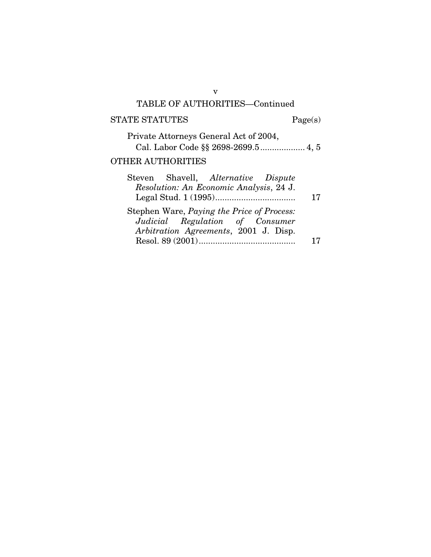## v TABLE OF AUTHORITIES—Continued

### STATE STATUTES Page(s)

| Private Attorneys General Act of 2004, |
|----------------------------------------|
|                                        |
| <b>OTHER AUTHORITIES</b>               |

## Steven Shavell, *Alternative Dispute Resolution: An Economic Analysis*, 24 J. Legal Stud. 1 (1995) .................................. 17 Stephen Ware, *Paying the Price of Process: Judicial Regulation of Consumer Arbitration Agreements*, 2001 J. Disp. Resol. 89 (2001) ......................................... 17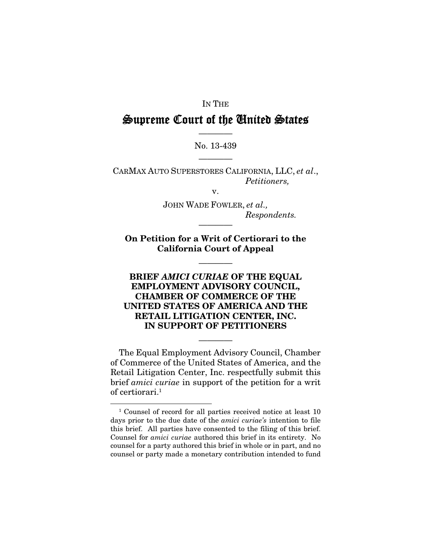### IN THE

# Supreme Court of the United States

# ———— No. 13-439 ————

CARMAX AUTO SUPERSTORES CALIFORNIA, LLC, *et al*., *Petitioners,* 

v.

JOHN WADE FOWLER, *et al., Respondents.* 

On Petition for a Writ of Certiorari to the California Court of Appeal

————

————

## BRIEF *AMICI CURIAE* OF THE EQUAL EMPLOYMENT ADVISORY COUNCIL, CHAMBER OF COMMERCE OF THE UNITED STATES OF AMERICA AND THE RETAIL LITIGATION CENTER, INC. IN SUPPORT OF PETITIONERS

The Equal Employment Advisory Council, Chamber of Commerce of the United States of America, and the Retail Litigation Center, Inc. respectfully submit this brief *amici curiae* in support of the petition for a writ of certiorari. $^1$ 

————

1

<sup>&</sup>lt;sup>1</sup> Counsel of record for all parties received notice at least 10 days prior to the due date of the *amici curiae's* intention to file this brief. All parties have consented to the filing of this brief. Counsel for *amici curiae* authored this brief in its entirety. No counsel for a party authored this brief in whole or in part, and no counsel or party made a monetary contribution intended to fund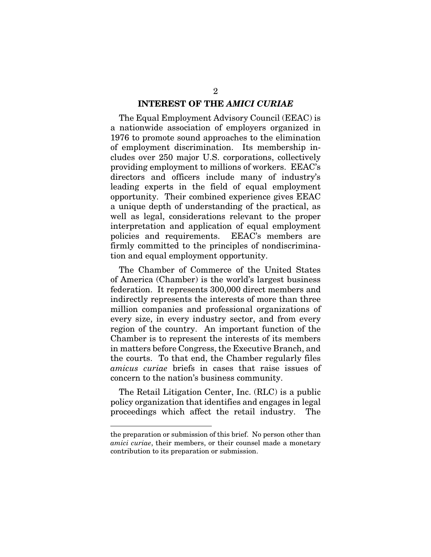#### INTEREST OF THE *AMICI CURIAE*

The Equal Employment Advisory Council (EEAC) is a nationwide association of employers organized in 1976 to promote sound approaches to the elimination of employment discrimination. Its membership includes over 250 major U.S. corporations, collectively providing employment to millions of workers. EEAC's directors and officers include many of industry's leading experts in the field of equal employment opportunity. Their combined experience gives EEAC a unique depth of understanding of the practical, as well as legal, considerations relevant to the proper interpretation and application of equal employment policies and requirements. EEAC's members are firmly committed to the principles of nondiscrimination and equal employment opportunity.

The Chamber of Commerce of the United States of America (Chamber) is the world's largest business federation. It represents 300,000 direct members and indirectly represents the interests of more than three million companies and professional organizations of every size, in every industry sector, and from every region of the country. An important function of the Chamber is to represent the interests of its members in matters before Congress, the Executive Branch, and the courts. To that end, the Chamber regularly files *amicus curiae* briefs in cases that raise issues of concern to the nation's business community.

The Retail Litigation Center, Inc. (RLC) is a public policy organization that identifies and engages in legal proceedings which affect the retail industry. The

1

the preparation or submission of this brief. No person other than *amici curiae*, their members, or their counsel made a monetary contribution to its preparation or submission.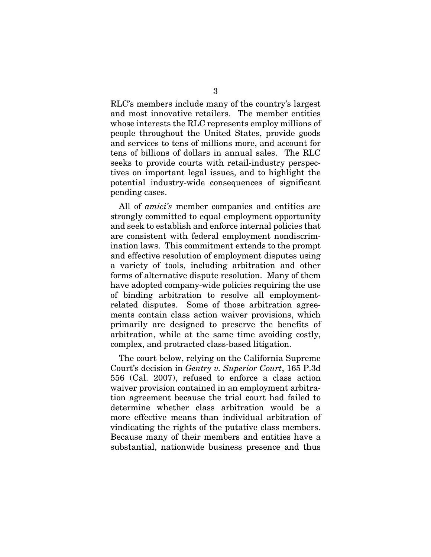RLC's members include many of the country's largest and most innovative retailers. The member entities whose interests the RLC represents employ millions of people throughout the United States, provide goods and services to tens of millions more, and account for tens of billions of dollars in annual sales. The RLC seeks to provide courts with retail-industry perspectives on important legal issues, and to highlight the potential industry-wide consequences of significant pending cases.

All of *amici's* member companies and entities are strongly committed to equal employment opportunity and seek to establish and enforce internal policies that are consistent with federal employment nondiscrimination laws. This commitment extends to the prompt and effective resolution of employment disputes using a variety of tools, including arbitration and other forms of alternative dispute resolution. Many of them have adopted company-wide policies requiring the use of binding arbitration to resolve all employmentrelated disputes. Some of those arbitration agreements contain class action waiver provisions, which primarily are designed to preserve the benefits of arbitration, while at the same time avoiding costly, complex, and protracted class-based litigation.

The court below, relying on the California Supreme Court's decision in *Gentry v. Superior Court*, 165 P.3d 556 (Cal. 2007), refused to enforce a class action waiver provision contained in an employment arbitration agreement because the trial court had failed to determine whether class arbitration would be a more effective means than individual arbitration of vindicating the rights of the putative class members. Because many of their members and entities have a substantial, nationwide business presence and thus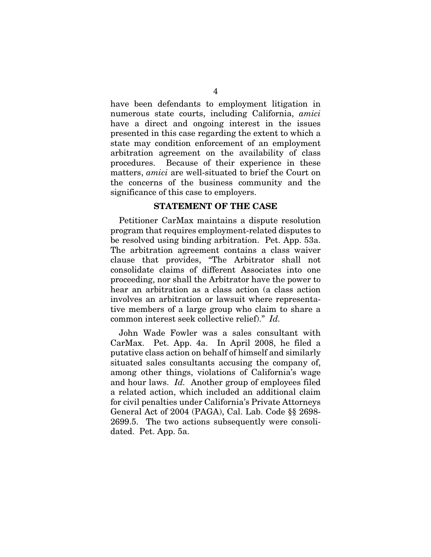have been defendants to employment litigation in numerous state courts, including California, *amici* have a direct and ongoing interest in the issues presented in this case regarding the extent to which a state may condition enforcement of an employment arbitration agreement on the availability of class procedures. Because of their experience in these matters, *amici* are well-situated to brief the Court on the concerns of the business community and the significance of this case to employers.

#### STATEMENT OF THE CASE

Petitioner CarMax maintains a dispute resolution program that requires employment-related disputes to be resolved using binding arbitration. Pet. App. 53a. The arbitration agreement contains a class waiver clause that provides, "The Arbitrator shall not consolidate claims of different Associates into one proceeding, nor shall the Arbitrator have the power to hear an arbitration as a class action (a class action involves an arbitration or lawsuit where representative members of a large group who claim to share a common interest seek collective relief)." *Id.* 

John Wade Fowler was a sales consultant with CarMax. Pet. App. 4a. In April 2008, he filed a putative class action on behalf of himself and similarly situated sales consultants accusing the company of, among other things, violations of California's wage and hour laws. *Id.* Another group of employees filed a related action, which included an additional claim for civil penalties under California's Private Attorneys General Act of 2004 (PAGA), Cal. Lab. Code §§ 2698- 2699.5. The two actions subsequently were consolidated. Pet. App. 5a.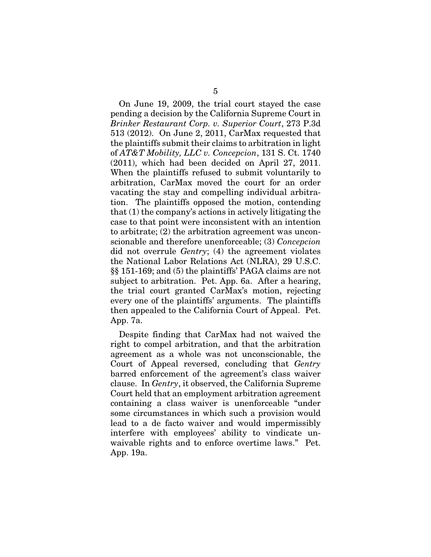On June 19, 2009, the trial court stayed the case pending a decision by the California Supreme Court in *Brinker Restaurant Corp. v. Superior Court*, 273 P.3d 513 (2012). On June 2, 2011, CarMax requested that the plaintiffs submit their claims to arbitration in light of *AT&T Mobility, LLC v. Concepcion*, 131 S. Ct. 1740 (2011), which had been decided on April 27, 2011. When the plaintiffs refused to submit voluntarily to arbitration, CarMax moved the court for an order vacating the stay and compelling individual arbitration. The plaintiffs opposed the motion, contending that (1) the company's actions in actively litigating the case to that point were inconsistent with an intention to arbitrate; (2) the arbitration agreement was unconscionable and therefore unenforceable; (3) *Concepcion*  did not overrule *Gentry*; (4) the agreement violates the National Labor Relations Act (NLRA), 29 U.S.C. §§ 151-169; and (5) the plaintiffs' PAGA claims are not subject to arbitration. Pet. App. 6a. After a hearing, the trial court granted CarMax's motion, rejecting every one of the plaintiffs' arguments. The plaintiffs then appealed to the California Court of Appeal. Pet. App. 7a.

Despite finding that CarMax had not waived the right to compel arbitration, and that the arbitration agreement as a whole was not unconscionable, the Court of Appeal reversed, concluding that *Gentry*  barred enforcement of the agreement's class waiver clause. In *Gentry*, it observed, the California Supreme Court held that an employment arbitration agreement containing a class waiver is unenforceable "under some circumstances in which such a provision would lead to a de facto waiver and would impermissibly interfere with employees' ability to vindicate unwaivable rights and to enforce overtime laws." Pet. App. 19a.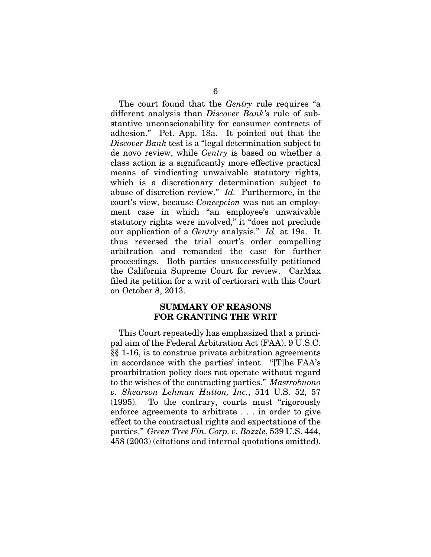The court found that the *Gentry* rule requires "a different analysis than *Discover Bank's* rule of substantive unconscionability for consumer contracts of adhesion." Pet. App. 18a. It pointed out that the *Discover Bank* test is a "legal determination subject to de novo review, while *Gentry* is based on whether a class action is a significantly more effective practical means of vindicating unwaivable statutory rights, which is a discretionary determination subject to abuse of discretion review." *Id.* Furthermore, in the court's view, because *Concepcion* was not an employment case in which "an employee's unwaivable statutory rights were involved," it "does not preclude our application of a *Gentry* analysis." *Id.* at 19a. It thus reversed the trial court's order compelling arbitration and remanded the case for further proceedings. Both parties unsuccessfully petitioned the California Supreme Court for review. CarMax filed its petition for a writ of certiorari with this Court on October 8, 2013.

### SUMMARY OF REASONS FOR GRANTING THE WRIT

This Court repeatedly has emphasized that a principal aim of the Federal Arbitration Act (FAA), 9 U.S.C. §§ 1-16, is to construe private arbitration agreements in accordance with the parties' intent. "[T]he FAA's proarbitration policy does not operate without regard to the wishes of the contracting parties." *Mastrobuono v. Shearson Lehman Hutton, Inc.*, 514 U.S. 52, 57 (1995). To the contrary, courts must "rigorously enforce agreements to arbitrate . . . in order to give effect to the contractual rights and expectations of the parties." *Green Tree Fin. Corp. v. Bazzle*, 539 U.S. 444, 458 (2003) (citations and internal quotations omitted).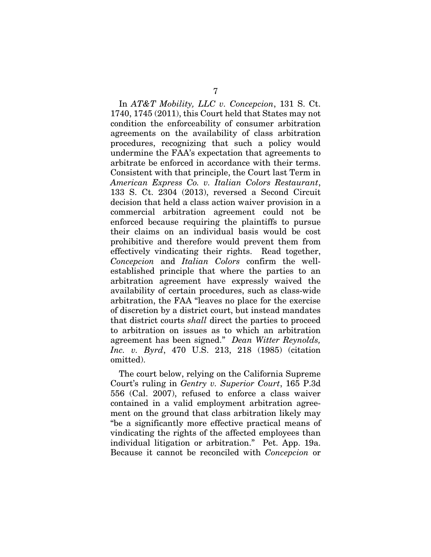In *AT&T Mobility, LLC v. Concepcion*, 131 S. Ct. 1740, 1745 (2011), this Court held that States may not condition the enforceability of consumer arbitration agreements on the availability of class arbitration procedures, recognizing that such a policy would undermine the FAA's expectation that agreements to arbitrate be enforced in accordance with their terms. Consistent with that principle, the Court last Term in *American Express Co. v. Italian Colors Restaurant*, 133 S. Ct. 2304 (2013), reversed a Second Circuit decision that held a class action waiver provision in a commercial arbitration agreement could not be enforced because requiring the plaintiffs to pursue their claims on an individual basis would be cost prohibitive and therefore would prevent them from effectively vindicating their rights. Read together, *Concepcion* and *Italian Colors* confirm the wellestablished principle that where the parties to an arbitration agreement have expressly waived the availability of certain procedures, such as class-wide arbitration, the FAA "leaves no place for the exercise of discretion by a district court, but instead mandates that district courts *shall* direct the parties to proceed to arbitration on issues as to which an arbitration agreement has been signed." *Dean Witter Reynolds, Inc. v. Byrd*, 470 U.S. 213, 218 (1985) (citation omitted).

The court below, relying on the California Supreme Court's ruling in *Gentry v. Superior Court*, 165 P.3d 556 (Cal. 2007), refused to enforce a class waiver contained in a valid employment arbitration agreement on the ground that class arbitration likely may "be a significantly more effective practical means of vindicating the rights of the affected employees than individual litigation or arbitration." Pet. App. 19a. Because it cannot be reconciled with *Concepcion* or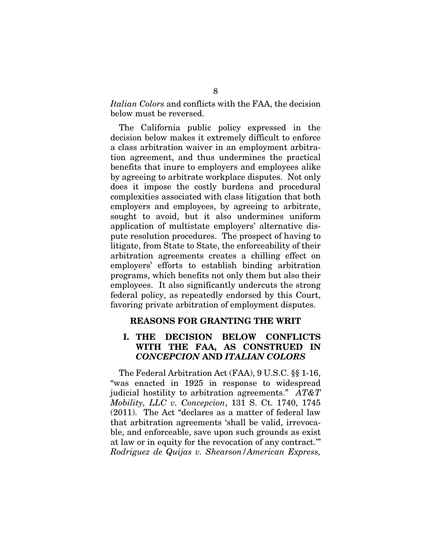*Italian Colors* and conflicts with the FAA, the decision below must be reversed.

The California public policy expressed in the decision below makes it extremely difficult to enforce a class arbitration waiver in an employment arbitration agreement, and thus undermines the practical benefits that inure to employers and employees alike by agreeing to arbitrate workplace disputes. Not only does it impose the costly burdens and procedural complexities associated with class litigation that both employers and employees, by agreeing to arbitrate, sought to avoid, but it also undermines uniform application of multistate employers' alternative dispute resolution procedures. The prospect of having to litigate, from State to State, the enforceability of their arbitration agreements creates a chilling effect on employers' efforts to establish binding arbitration programs, which benefits not only them but also their employees. It also significantly undercuts the strong federal policy, as repeatedly endorsed by this Court, favoring private arbitration of employment disputes.

#### REASONS FOR GRANTING THE WRIT

### I. THE DECISION BELOW CONFLICTS WITH THE FAA, AS CONSTRUED IN *CONCEPCION* AND *ITALIAN COLORS*

The Federal Arbitration Act (FAA), 9 U.S.C. §§ 1-16, "was enacted in 1925 in response to widespread judicial hostility to arbitration agreements." *AT&T Mobility, LLC v. Concepcion*, 131 S. Ct. 1740, 1745 (2011). The Act "declares as a matter of federal law that arbitration agreements 'shall be valid, irrevocable, and enforceable, save upon such grounds as exist at law or in equity for the revocation of any contract.'" *Rodriguez de Quijas v. Shearson/American Express,*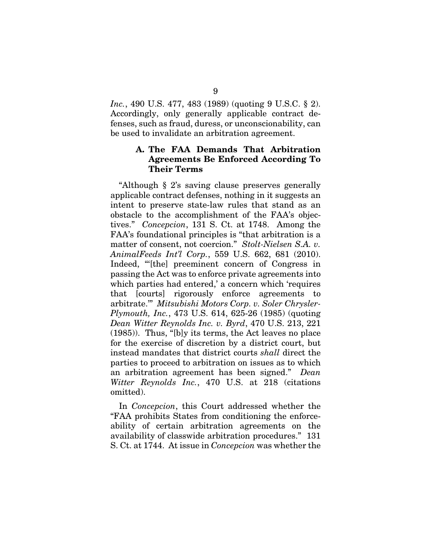*Inc.*, 490 U.S. 477, 483 (1989) (quoting 9 U.S.C. § 2). Accordingly, only generally applicable contract defenses, such as fraud, duress, or unconscionability, can be used to invalidate an arbitration agreement.

### A. The FAA Demands That Arbitration Agreements Be Enforced According To Their Terms

"Although § 2's saving clause preserves generally applicable contract defenses, nothing in it suggests an intent to preserve state-law rules that stand as an obstacle to the accomplishment of the FAA's objectives." *Concepcion*, 131 S. Ct. at 1748. Among the FAA's foundational principles is "that arbitration is a matter of consent, not coercion." *Stolt-Nielsen S.A. v. AnimalFeeds Int'l Corp.*, 559 U.S. 662, 681 (2010). Indeed, "'[the] preeminent concern of Congress in passing the Act was to enforce private agreements into which parties had entered,' a concern which 'requires that [courts] rigorously enforce agreements to arbitrate.'" *Mitsubishi Motors Corp. v. Soler Chrysler-Plymouth, Inc.*, 473 U.S. 614, 625-26 (1985) (quoting *Dean Witter Reynolds Inc. v. Byrd*, 470 U.S. 213, 221 (1985)). Thus, "[b]y its terms, the Act leaves no place for the exercise of discretion by a district court, but instead mandates that district courts *shall* direct the parties to proceed to arbitration on issues as to which an arbitration agreement has been signed." *Dean Witter Reynolds Inc.*, 470 U.S. at 218 (citations omitted).

In *Concepcion*, this Court addressed whether the "FAA prohibits States from conditioning the enforceability of certain arbitration agreements on the availability of classwide arbitration procedures." 131 S. Ct. at 1744. At issue in *Concepcion* was whether the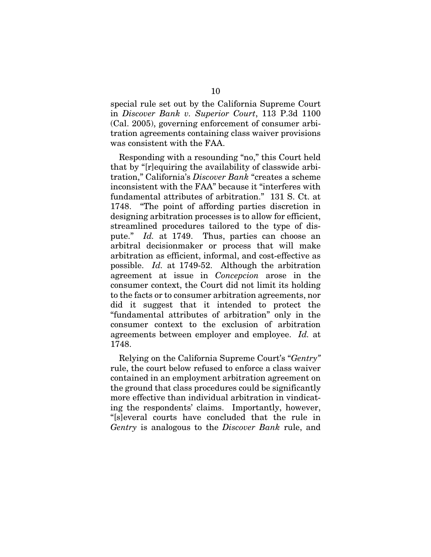special rule set out by the California Supreme Court in *Discover Bank v. Superior Court*, 113 P.3d 1100 (Cal. 2005), governing enforcement of consumer arbitration agreements containing class waiver provisions was consistent with the FAA.

Responding with a resounding "no," this Court held that by "[r]equiring the availability of classwide arbitration," California's *Discover Bank* "creates a scheme inconsistent with the FAA" because it "interferes with fundamental attributes of arbitration." 131 S. Ct. at 1748. "The point of affording parties discretion in designing arbitration processes is to allow for efficient, streamlined procedures tailored to the type of dispute." *Id.* at 1749. Thus, parties can choose an arbitral decisionmaker or process that will make arbitration as efficient, informal, and cost-effective as possible. *Id.* at 1749-52. Although the arbitration agreement at issue in *Concepcion* arose in the consumer context, the Court did not limit its holding to the facts or to consumer arbitration agreements, nor did it suggest that it intended to protect the "fundamental attributes of arbitration" only in the consumer context to the exclusion of arbitration agreements between employer and employee. *Id.* at 1748.

Relying on the California Supreme Court's "*Gentry"*  rule, the court below refused to enforce a class waiver contained in an employment arbitration agreement on the ground that class procedures could be significantly more effective than individual arbitration in vindicating the respondents' claims. Importantly, however, "[s]everal courts have concluded that the rule in *Gentry* is analogous to the *Discover Bank* rule, and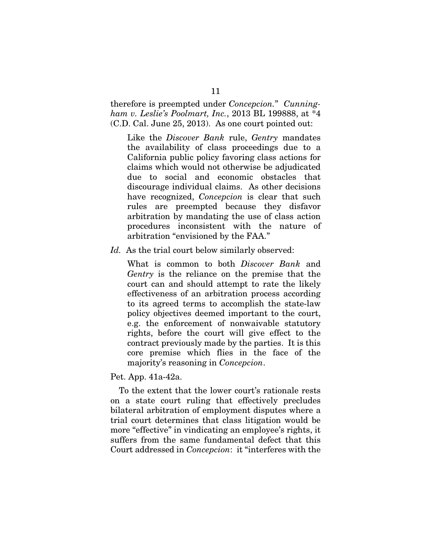therefore is preempted under *Concepcion.*" *Cunningham v. Leslie's Poolmart, Inc.*, 2013 BL 199888, at \*4 (C.D. Cal. June 25, 2013). As one court pointed out:

Like the *Discover Bank* rule, *Gentry* mandates the availability of class proceedings due to a California public policy favoring class actions for claims which would not otherwise be adjudicated due to social and economic obstacles that discourage individual claims. As other decisions have recognized, *Concepcion* is clear that such rules are preempted because they disfavor arbitration by mandating the use of class action procedures inconsistent with the nature of arbitration "envisioned by the FAA."

*Id.* As the trial court below similarly observed:

What is common to both *Discover Bank* and *Gentry* is the reliance on the premise that the court can and should attempt to rate the likely effectiveness of an arbitration process according to its agreed terms to accomplish the state-law policy objectives deemed important to the court, e.g. the enforcement of nonwaivable statutory rights, before the court will give effect to the contract previously made by the parties. It is this core premise which flies in the face of the majority's reasoning in *Concepcion*.

Pet. App. 41a-42a.

To the extent that the lower court's rationale rests on a state court ruling that effectively precludes bilateral arbitration of employment disputes where a trial court determines that class litigation would be more "effective" in vindicating an employee's rights, it suffers from the same fundamental defect that this Court addressed in *Concepcion*: it "interferes with the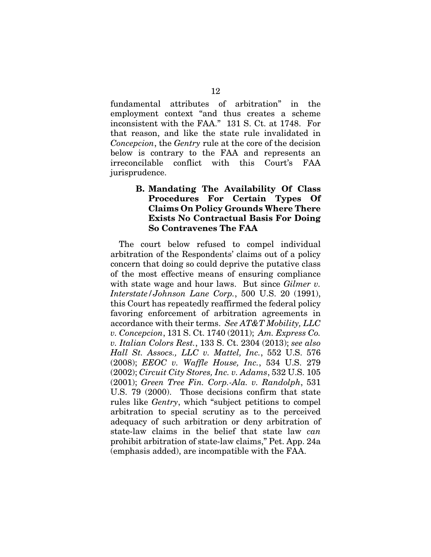fundamental attributes of arbitration" in the employment context "and thus creates a scheme inconsistent with the FAA." 131 S. Ct. at 1748. For that reason, and like the state rule invalidated in *Concepcion*, the *Gentry* rule at the core of the decision below is contrary to the FAA and represents an irreconcilable conflict with this Court's FAA jurisprudence.

## B. Mandating The Availability Of Class Procedures For Certain Types Of Claims On Policy Grounds Where There Exists No Contractual Basis For Doing So Contravenes The FAA

The court below refused to compel individual arbitration of the Respondents' claims out of a policy concern that doing so could deprive the putative class of the most effective means of ensuring compliance with state wage and hour laws. But since *Gilmer v. Interstate/Johnson Lane Corp.*, 500 U.S. 20 (1991), this Court has repeatedly reaffirmed the federal policy favoring enforcement of arbitration agreements in accordance with their terms. *See AT&T Mobility, LLC v. Concepcion*, 131 S. Ct. 1740 (2011); *Am. Express Co. v. Italian Colors Rest.*, 133 S. Ct. 2304 (2013); *see also Hall St. Assocs., LLC v. Mattel, Inc.*, 552 U.S. 576 (2008); *EEOC v. Waffle House, Inc.*, 534 U.S. 279 (2002); *Circuit City Stores, Inc. v. Adams*, 532 U.S. 105 (2001); *Green Tree Fin. Corp.-Ala. v. Randolph*, 531 U.S. 79 (2000). Those decisions confirm that state rules like *Gentry*, which "subject petitions to compel arbitration to special scrutiny as to the perceived adequacy of such arbitration or deny arbitration of state-law claims in the belief that state law *can* prohibit arbitration of state-law claims," Pet. App. 24a (emphasis added), are incompatible with the FAA.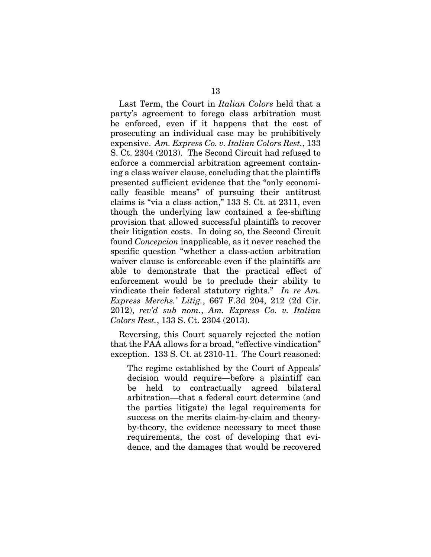Last Term, the Court in *Italian Colors* held that a party's agreement to forego class arbitration must be enforced, even if it happens that the cost of prosecuting an individual case may be prohibitively expensive. *Am. Express Co. v. Italian Colors Rest.*, 133 S. Ct. 2304 (2013). The Second Circuit had refused to enforce a commercial arbitration agreement containing a class waiver clause, concluding that the plaintiffs presented sufficient evidence that the "only economically feasible means" of pursuing their antitrust claims is "via a class action," 133 S. Ct. at 2311, even though the underlying law contained a fee-shifting provision that allowed successful plaintiffs to recover their litigation costs. In doing so, the Second Circuit found *Concepcion* inapplicable, as it never reached the specific question "whether a class-action arbitration waiver clause is enforceable even if the plaintiffs are able to demonstrate that the practical effect of enforcement would be to preclude their ability to vindicate their federal statutory rights." *In re Am. Express Merchs.' Litig.*, 667 F.3d 204, 212 (2d Cir. 2012), *rev'd sub nom.*, *Am. Express Co. v. Italian Colors Rest.*, 133 S. Ct. 2304 (2013).

Reversing, this Court squarely rejected the notion that the FAA allows for a broad, "effective vindication" exception. 133 S. Ct. at 2310-11. The Court reasoned:

The regime established by the Court of Appeals' decision would require—before a plaintiff can be held to contractually agreed bilateral arbitration—that a federal court determine (and the parties litigate) the legal requirements for success on the merits claim-by-claim and theoryby-theory, the evidence necessary to meet those requirements, the cost of developing that evidence, and the damages that would be recovered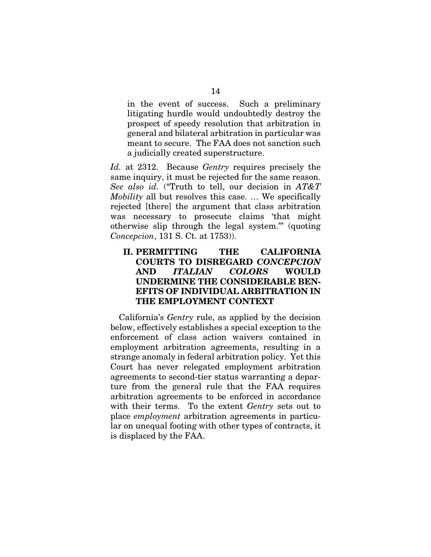in the event of success. Such a preliminary litigating hurdle would undoubtedly destroy the prospect of speedy resolution that arbitration in general and bilateral arbitration in particular was meant to secure. The FAA does not sanction such a judicially created superstructure.

*Id.* at 2312. Because *Gentry* requires precisely the same inquiry, it must be rejected for the same reason. *See also id.* ("Truth to tell, our decision in *AT&T Mobility* all but resolves this case. … We specifically rejected [there] the argument that class arbitration was necessary to prosecute claims 'that might otherwise slip through the legal system.'" (quoting *Concepcion*, 131 S. Ct. at 1753)).

## II. PERMITTING THE CALIFORNIA COURTS TO DISREGARD *CONCEPCION*  AND *ITALIAN COLORS* WOULD UNDERMINE THE CONSIDERABLE BEN-EFITS OF INDIVIDUAL ARBITRATION IN THE EMPLOYMENT CONTEXT

California's *Gentry* rule, as applied by the decision below, effectively establishes a special exception to the enforcement of class action waivers contained in employment arbitration agreements, resulting in a strange anomaly in federal arbitration policy. Yet this Court has never relegated employment arbitration agreements to second-tier status warranting a departure from the general rule that the FAA requires arbitration agreements to be enforced in accordance with their terms. To the extent *Gentry* sets out to place *employment* arbitration agreements in particular on unequal footing with other types of contracts, it is displaced by the FAA.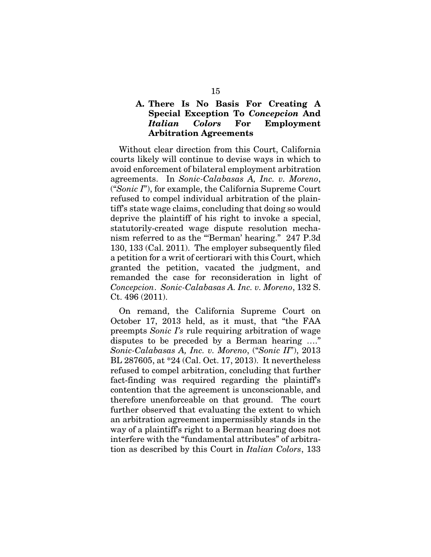## A. There Is No Basis For Creating A Special Exception To *Concepcion* And *Italian Colors* For Employment Arbitration Agreements

Without clear direction from this Court, California courts likely will continue to devise ways in which to avoid enforcement of bilateral employment arbitration agreements. In *Sonic-Calabasas A, Inc. v. Moreno*, ("*Sonic I*"), for example, the California Supreme Court refused to compel individual arbitration of the plaintiff's state wage claims, concluding that doing so would deprive the plaintiff of his right to invoke a special, statutorily-created wage dispute resolution mechanism referred to as the "'Berman' hearing." 247 P.3d 130, 133 (Cal. 2011). The employer subsequently filed a petition for a writ of certiorari with this Court, which granted the petition, vacated the judgment, and remanded the case for reconsideration in light of *Concepcion*. *Sonic-Calabasas A. Inc. v. Moreno*, 132 S. Ct. 496 (2011).

On remand, the California Supreme Court on October 17, 2013 held, as it must, that "the FAA preempts *Sonic I's* rule requiring arbitration of wage disputes to be preceded by a Berman hearing …." *Sonic-Calabasas A, Inc. v. Moreno*, ("*Sonic II*"), 2013 BL 287605, at \*24 (Cal. Oct. 17, 2013). It nevertheless refused to compel arbitration, concluding that further fact-finding was required regarding the plaintiff's contention that the agreement is unconscionable, and therefore unenforceable on that ground. The court further observed that evaluating the extent to which an arbitration agreement impermissibly stands in the way of a plaintiff's right to a Berman hearing does not interfere with the "fundamental attributes" of arbitration as described by this Court in *Italian Colors*, 133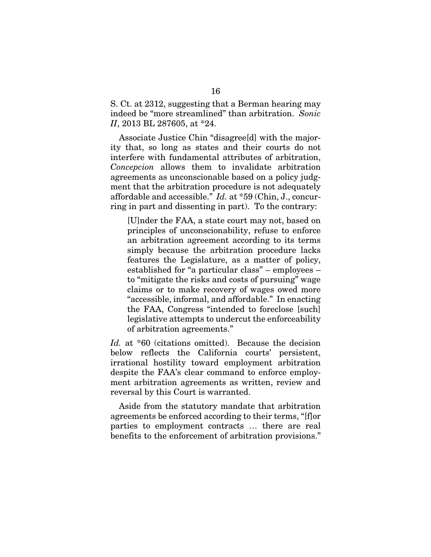S. Ct. at 2312, suggesting that a Berman hearing may indeed be "more streamlined" than arbitration. *Sonic II*, 2013 BL 287605, at \*24.

Associate Justice Chin "disagree[d] with the majority that, so long as states and their courts do not interfere with fundamental attributes of arbitration, *Concepcion* allows them to invalidate arbitration agreements as unconscionable based on a policy judgment that the arbitration procedure is not adequately affordable and accessible." *Id.* at \*59 (Chin, J., concurring in part and dissenting in part). To the contrary:

[U]nder the FAA, a state court may not, based on principles of unconscionability, refuse to enforce an arbitration agreement according to its terms simply because the arbitration procedure lacks features the Legislature, as a matter of policy, established for "a particular class" – employees – to "mitigate the risks and costs of pursuing" wage claims or to make recovery of wages owed more "accessible, informal, and affordable." In enacting the FAA, Congress "intended to foreclose [such] legislative attempts to undercut the enforceability of arbitration agreements."

*Id.* at \*60 (citations omitted).Because the decision below reflects the California courts' persistent, irrational hostility toward employment arbitration despite the FAA's clear command to enforce employment arbitration agreements as written, review and reversal by this Court is warranted.

Aside from the statutory mandate that arbitration agreements be enforced according to their terms, "[f]or parties to employment contracts … there are real benefits to the enforcement of arbitration provisions."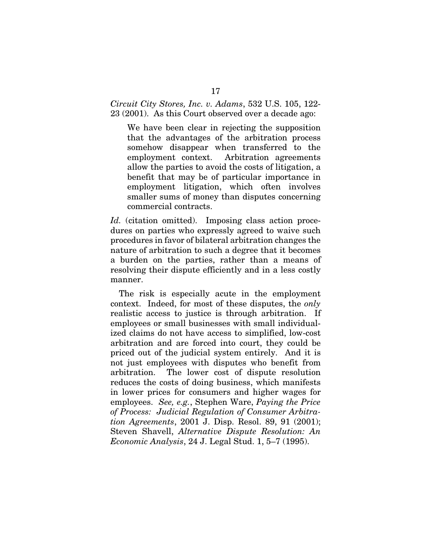*Circuit City Stores, Inc. v. Adams*, 532 U.S. 105, 122- 23 (2001). As this Court observed over a decade ago:

We have been clear in rejecting the supposition that the advantages of the arbitration process somehow disappear when transferred to the employment context. Arbitration agreements allow the parties to avoid the costs of litigation, a benefit that may be of particular importance in employment litigation, which often involves smaller sums of money than disputes concerning commercial contracts.

Id. (citation omitted). Imposing class action procedures on parties who expressly agreed to waive such procedures in favor of bilateral arbitration changes the nature of arbitration to such a degree that it becomes a burden on the parties, rather than a means of resolving their dispute efficiently and in a less costly manner.

The risk is especially acute in the employment context. Indeed, for most of these disputes, the *only* realistic access to justice is through arbitration. If employees or small businesses with small individualized claims do not have access to simplified, low-cost arbitration and are forced into court, they could be priced out of the judicial system entirely. And it is not just employees with disputes who benefit from arbitration. The lower cost of dispute resolution reduces the costs of doing business, which manifests in lower prices for consumers and higher wages for employees. *See, e.g.*, Stephen Ware, *Paying the Price of Process: Judicial Regulation of Consumer Arbitration Agreements*, 2001 J. Disp. Resol. 89, 91 (2001); Steven Shavell, *Alternative Dispute Resolution: An Economic Analysis*, 24 J. Legal Stud. 1, 5–7 (1995).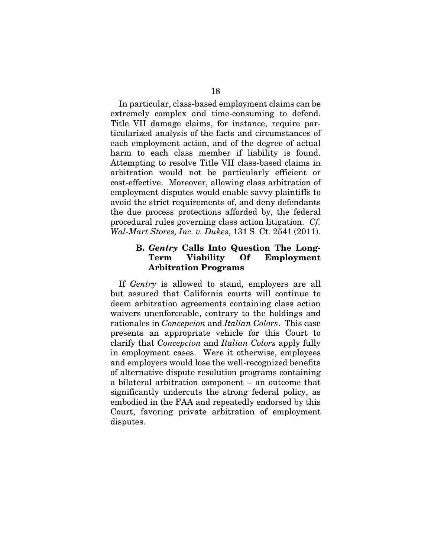In particular, class-based employment claims can be extremely complex and time-consuming to defend. Title VII damage claims, for instance, require particularized analysis of the facts and circumstances of each employment action, and of the degree of actual harm to each class member if liability is found. Attempting to resolve Title VII class-based claims in arbitration would not be particularly efficient or cost-effective. Moreover, allowing class arbitration of employment disputes would enable savvy plaintiffs to avoid the strict requirements of, and deny defendants the due process protections afforded by, the federal procedural rules governing class action litigation. *Cf. Wal-Mart Stores, Inc. v. Dukes*, 131 S. Ct. 2541 (2011).

### B. *Gentry* Calls Into Question The Long-Term Viability Of Employment Arbitration Programs

If *Gentry* is allowed to stand, employers are all but assured that California courts will continue to deem arbitration agreements containing class action waivers unenforceable, contrary to the holdings and rationales in *Concepcion* and *Italian Colors*. This case presents an appropriate vehicle for this Court to clarify that *Concepcion* and *Italian Colors* apply fully in employment cases. Were it otherwise, employees and employers would lose the well-recognized benefits of alternative dispute resolution programs containing a bilateral arbitration component – an outcome that significantly undercuts the strong federal policy, as embodied in the FAA and repeatedly endorsed by this Court, favoring private arbitration of employment disputes.